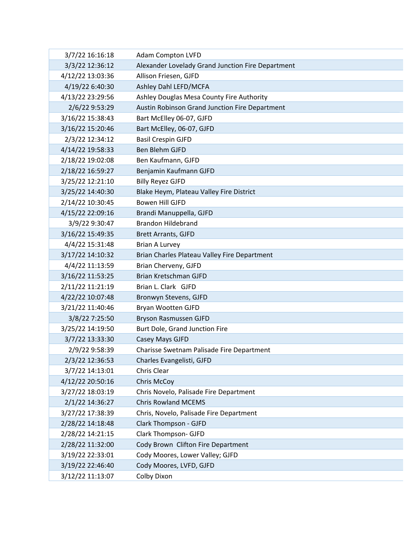| 3/7/22 16:16:18  | <b>Adam Compton LVFD</b>                          |
|------------------|---------------------------------------------------|
| 3/3/22 12:36:12  | Alexander Lovelady Grand Junction Fire Department |
| 4/12/22 13:03:36 | Allison Friesen, GJFD                             |
| 4/19/22 6:40:30  | Ashley Dahl LEFD/MCFA                             |
| 4/13/22 23:29:56 | Ashley Douglas Mesa County Fire Authority         |
| 2/6/22 9:53:29   | Austin Robinson Grand Junction Fire Department    |
| 3/16/22 15:38:43 | Bart McElley 06-07, GJFD                          |
| 3/16/22 15:20:46 | Bart McElley, 06-07, GJFD                         |
| 2/3/22 12:34:12  | <b>Basil Crespin GJFD</b>                         |
| 4/14/22 19:58:33 | Ben Blehm GJFD                                    |
| 2/18/22 19:02:08 | Ben Kaufmann, GJFD                                |
| 2/18/22 16:59:27 | Benjamin Kaufmann GJFD                            |
| 3/25/22 12:21:10 | <b>Billy Reyez GJFD</b>                           |
| 3/25/22 14:40:30 | Blake Heym, Plateau Valley Fire District          |
| 2/14/22 10:30:45 | <b>Bowen Hill GJFD</b>                            |
| 4/15/22 22:09:16 | Brandi Manuppella, GJFD                           |
| 3/9/22 9:30:47   | <b>Brandon Hildebrand</b>                         |
| 3/16/22 15:49:35 | <b>Brett Arrants, GJFD</b>                        |
| 4/4/22 15:31:48  | <b>Brian A Lurvey</b>                             |
| 3/17/22 14:10:32 | Brian Charles Plateau Valley Fire Department      |
| 4/4/22 11:13:59  | Brian Cherveny, GJFD                              |
| 3/16/22 11:53:25 | Brian Kretschman GJFD                             |
| 2/11/22 11:21:19 | Brian L. Clark GJFD                               |
| 4/22/22 10:07:48 | Bronwyn Stevens, GJFD                             |
| 3/21/22 11:40:46 | Bryan Wootten GJFD                                |
| 3/8/22 7:25:50   | Bryson Rasmussen GJFD                             |
| 3/25/22 14:19:50 | Burt Dole, Grand Junction Fire                    |
| 3/7/22 13:33:30  | Casey Mays GJFD                                   |
| 2/9/22 9:58:39   | Charisse Swetnam Palisade Fire Department         |
| 2/3/22 12:36:53  | Charles Evangelisti, GJFD                         |
| 3/7/22 14:13:01  | Chris Clear                                       |
| 4/12/22 20:50:16 | Chris McCoy                                       |
| 3/27/22 18:03:19 | Chris Novelo, Palisade Fire Department            |
| 2/1/22 14:36:27  | <b>Chris Rowland MCEMS</b>                        |
| 3/27/22 17:38:39 | Chris, Novelo, Palisade Fire Department           |
| 2/28/22 14:18:48 | <b>Clark Thompson - GJFD</b>                      |
| 2/28/22 14:21:15 | Clark Thompson- GJFD                              |
| 2/28/22 11:32:00 | Cody Brown Clifton Fire Department                |
| 3/19/22 22:33:01 | Cody Moores, Lower Valley; GJFD                   |
| 3/19/22 22:46:40 | Cody Moores, LVFD, GJFD                           |
| 3/12/22 11:13:07 | <b>Colby Dixon</b>                                |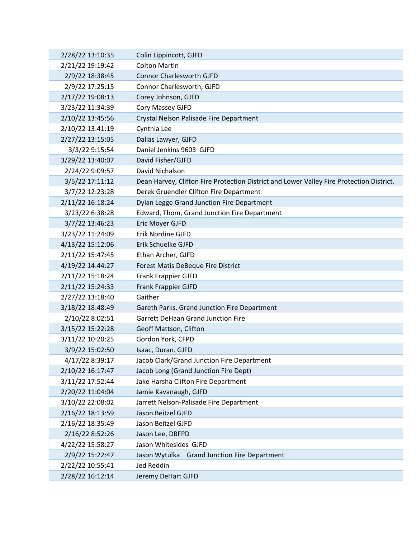| 2/28/22 13:10:35 | Colin Lippincott, GJFD                                                                   |
|------------------|------------------------------------------------------------------------------------------|
| 2/21/22 19:19:42 | <b>Colton Martin</b>                                                                     |
| 2/9/22 18:38:45  | <b>Connor Charlesworth GJFD</b>                                                          |
| 2/9/22 17:25:15  | Connor Charlesworth, GJFD                                                                |
| 2/17/22 19:08:13 | Corey Johnson, GJFD                                                                      |
| 3/23/22 11:34:39 | Cory Massey GJFD                                                                         |
| 2/10/22 13:45:56 | Crystal Nelson Palisade Fire Department                                                  |
| 2/10/22 13:41:19 | Cynthia Lee                                                                              |
| 2/27/22 13:15:05 | Dallas Lawyer, GJFD                                                                      |
| 3/3/22 9:15:54   | Daniel Jenkins 9603 GJFD                                                                 |
| 3/29/22 13:40:07 | David Fisher/GJFD                                                                        |
| 2/24/22 9:09:57  | David Nichalson                                                                          |
| 3/5/22 17:11:12  | Dean Harvey, Clifton Fire Protection District and Lower Valley Fire Protection District. |
| 3/7/22 12:23:28  | Derek Gruendler Clifton Fire Department                                                  |
| 2/11/22 16:18:24 | Dylan Legge Grand Junction Fire Department                                               |
| 3/23/22 6:38:28  | Edward, Thom, Grand Junction Fire Department                                             |
| 3/7/22 13:46:23  | Eric Moyer GJFD                                                                          |
| 3/23/22 11:24:09 | Erik Nordine GJFD                                                                        |
| 4/13/22 15:12:06 | Erik Schuelke GJFD                                                                       |
| 2/11/22 15:47:45 | Ethan Archer, GJFD                                                                       |
| 4/19/22 14:44:27 | <b>Forest Matis DeBeque Fire District</b>                                                |
| 2/11/22 15:18:24 | Frank Frappier GJFD                                                                      |
| 2/11/22 15:24:33 | Frank Frappier GJFD                                                                      |
| 2/27/22 13:18:40 | Gaither                                                                                  |
| 3/18/22 18:48:49 | Gareth Parks. Grand Junction Fire Department                                             |
| 2/10/22 8:02:51  | <b>Garrett DeHaan Grand Junction Fire</b>                                                |
| 3/15/22 15:22:28 | Geoff Mattson, Clifton                                                                   |
| 3/11/22 10:20:25 | Gordon York, CFPD                                                                        |
| 3/9/22 15:02:50  | Isaac, Duran. GJFD                                                                       |
| 4/17/22 8:39:17  | Jacob Clark/Grand Junction Fire Department                                               |
| 2/10/22 16:17:47 | Jacob Long (Grand Junction Fire Dept)                                                    |
| 3/11/22 17:52:44 | Jake Harsha Clifton Fire Department                                                      |
| 2/20/22 11:04:04 | Jamie Kavanaugh, GJFD                                                                    |
| 3/10/22 22:08:02 | Jarrett Nelson-Palisade Fire Department                                                  |
| 2/16/22 18:13:59 | Jason Beitzel GJFD                                                                       |
| 2/16/22 18:35:49 | Jason Beitzel GJFD                                                                       |
| 2/16/22 8:52:26  | Jason Lee, DBFPD                                                                         |
| 4/22/22 15:58:27 | Jason Whitesides GJFD                                                                    |
| 2/9/22 15:22:47  | Jason Wytulka Grand Junction Fire Department                                             |
| 2/22/22 10:55:41 | Jed Reddin                                                                               |
| 2/28/22 16:12:14 | Jeremy DeHart GJFD                                                                       |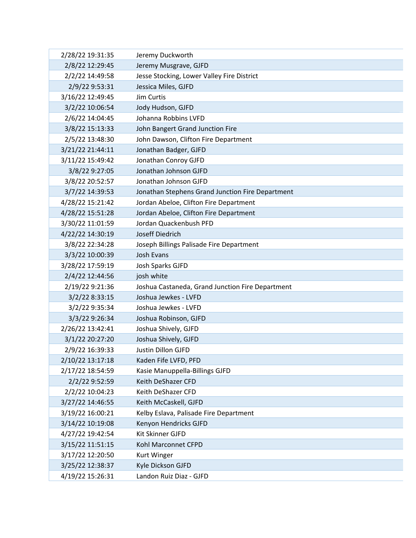| 2/28/22 19:31:35 | Jeremy Duckworth                                 |
|------------------|--------------------------------------------------|
| 2/8/22 12:29:45  | Jeremy Musgrave, GJFD                            |
| 2/2/22 14:49:58  | Jesse Stocking, Lower Valley Fire District       |
| 2/9/22 9:53:31   | Jessica Miles, GJFD                              |
| 3/16/22 12:49:45 | Jim Curtis                                       |
| 3/2/22 10:06:54  | Jody Hudson, GJFD                                |
| 2/6/22 14:04:45  | Johanna Robbins LVFD                             |
| 3/8/22 15:13:33  | John Bangert Grand Junction Fire                 |
| 2/5/22 13:48:30  | John Dawson, Clifton Fire Department             |
| 3/21/22 21:44:11 | Jonathan Badger, GJFD                            |
| 3/11/22 15:49:42 | Jonathan Conroy GJFD                             |
| 3/8/22 9:27:05   | Jonathan Johnson GJFD                            |
| 3/8/22 20:52:57  | Jonathan Johnson GJFD                            |
| 3/7/22 14:39:53  | Jonathan Stephens Grand Junction Fire Department |
| 4/28/22 15:21:42 | Jordan Abeloe, Clifton Fire Department           |
| 4/28/22 15:51:28 | Jordan Abeloe, Clifton Fire Department           |
| 3/30/22 11:01:59 | Jordan Quackenbush PFD                           |
| 4/22/22 14:30:19 | Joseff Diedrich                                  |
| 3/8/22 22:34:28  | Joseph Billings Palisade Fire Department         |
| 3/3/22 10:00:39  | Josh Evans                                       |
| 3/28/22 17:59:19 | Josh Sparks GJFD                                 |
| 2/4/22 12:44:56  | josh white                                       |
| 2/19/22 9:21:36  | Joshua Castaneda, Grand Junction Fire Department |
| 3/2/22 8:33:15   | Joshua Jewkes - LVFD                             |
| 3/2/22 9:35:34   | Joshua Jewkes - LVFD                             |
| 3/3/22 9:26:34   | Joshua Robinson, GJFD                            |
| 2/26/22 13:42:41 | Joshua Shively, GJFD                             |
| 3/1/22 20:27:20  | Joshua Shively, GJFD                             |
| 2/9/22 16:39:33  | Justin Dillon GJFD                               |
| 2/10/22 13:17:18 | Kaden Fife LVFD, PFD                             |
| 2/17/22 18:54:59 | Kasie Manuppella-Billings GJFD                   |
| 2/2/22 9:52:59   | Keith DeShazer CFD                               |
| 2/2/22 10:04:23  | Keith DeShazer CFD                               |
| 3/27/22 14:46:55 | Keith McCaskell, GJFD                            |
| 3/19/22 16:00:21 | Kelby Eslava, Palisade Fire Department           |
| 3/14/22 10:19:08 | Kenyon Hendricks GJFD                            |
| 4/27/22 19:42:54 | Kit Skinner GJFD                                 |
| 3/15/22 11:51:15 | Kohl Marconnet CFPD                              |
| 3/17/22 12:20:50 | Kurt Winger                                      |
| 3/25/22 12:38:37 | Kyle Dickson GJFD                                |
| 4/19/22 15:26:31 | Landon Ruiz Diaz - GJFD                          |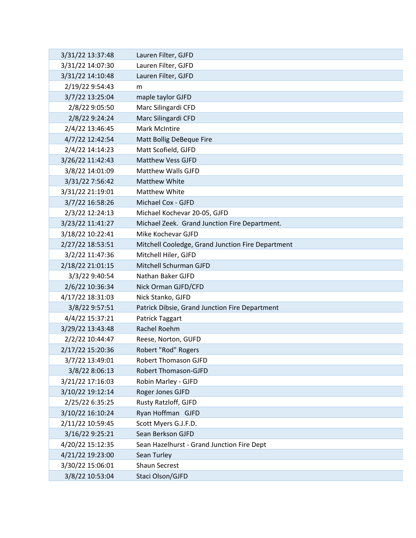| 3/31/22 13:37:48 | Lauren Filter, GJFD                               |
|------------------|---------------------------------------------------|
| 3/31/22 14:07:30 | Lauren Filter, GJFD                               |
| 3/31/22 14:10:48 | Lauren Filter, GJFD                               |
| 2/19/22 9:54:43  | m                                                 |
| 3/7/22 13:25:04  | maple taylor GJFD                                 |
| 2/8/22 9:05:50   | Marc Silingardi CFD                               |
| 2/8/22 9:24:24   | Marc Silingardi CFD                               |
| 2/4/22 13:46:45  | <b>Mark McIntire</b>                              |
| 4/7/22 12:42:54  | Matt Bollig DeBeque Fire                          |
| 2/4/22 14:14:23  | Matt Scofield, GJFD                               |
| 3/26/22 11:42:43 | <b>Matthew Vess GJFD</b>                          |
| 3/8/22 14:01:09  | <b>Matthew Walls GJFD</b>                         |
| 3/31/22 7:56:42  | <b>Matthew White</b>                              |
| 3/31/22 21:19:01 | <b>Matthew White</b>                              |
| 3/7/22 16:58:26  | Michael Cox - GJFD                                |
| 2/3/22 12:24:13  | Michael Kochevar 20-05, GJFD                      |
| 3/23/22 11:41:27 | Michael Zeek. Grand Junction Fire Department.     |
| 3/18/22 10:22:41 | Mike Kochevar GJFD                                |
| 2/27/22 18:53:51 | Mitchell Cooledge, Grand Junction Fire Department |
| 3/2/22 11:47:36  | Mitchell Hiler, GJFD                              |
| 2/18/22 21:01:15 | Mitchell Schurman GJFD                            |
| 3/3/22 9:40:54   | Nathan Baker GJFD                                 |
| 2/6/22 10:36:34  | Nick Orman GJFD/CFD                               |
| 4/17/22 18:31:03 | Nick Stanko, GJFD                                 |
| 3/8/22 9:57:51   | Patrick Dibsie, Grand Junction Fire Department    |
| 4/4/22 15:37:21  | Patrick Taggart                                   |
| 3/29/22 13:43:48 | Rachel Roehm                                      |
| 2/2/22 10:44:47  | Reese, Norton, GUFD                               |
| 2/17/22 15:20:36 | Robert "Rod" Rogers                               |
| 3/7/22 13:49:01  | <b>Robert Thomason GJFD</b>                       |
| 3/8/22 8:06:13   | Robert Thomason-GJFD                              |
| 3/21/22 17:16:03 | Robin Marley - GJFD                               |
| 3/10/22 19:12:14 | Roger Jones GJFD                                  |
| 2/25/22 6:35:25  | Rusty Ratzloff, GJFD                              |
| 3/10/22 16:10:24 | Ryan Hoffman GJFD                                 |
| 2/11/22 10:59:45 | Scott Myers G.J.F.D.                              |
| 3/16/22 9:25:21  | Sean Berkson GJFD                                 |
| 4/20/22 15:12:35 | Sean Hazelhurst - Grand Junction Fire Dept        |
| 4/21/22 19:23:00 | Sean Turley                                       |
| 3/30/22 15:06:01 | <b>Shaun Secrest</b>                              |
| 3/8/22 10:53:04  | Staci Olson/GJFD                                  |